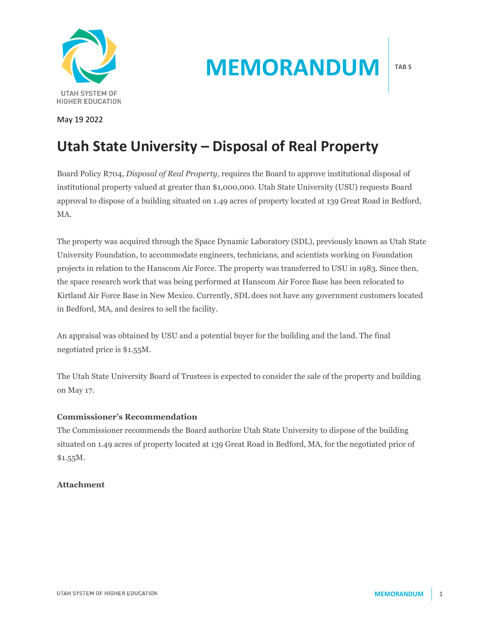

# **MEMORANDUM**

May 19 2022

## **Utah State University – Disposal of Real Property**

Board Policy R704, *Disposal of Real Property,* requires the Board to approve institutional disposal of institutional property valued at greater than \$1,000,000. Utah State University (USU) requests Board approval to dispose of a building situated on 1.49 acres of property located at 139 Great Road in Bedford, MA.

The property was acquired through the Space Dynamic Laboratory (SDL), previously known as Utah State University Foundation, to accommodate engineers, technicians, and scientists working on Foundation projects in relation to the Hanscom Air Force. The property was transferred to USU in 1983. Since then, the space research work that was being performed at Hanscom Air Force Base has been relocated to Kirtland Air Force Base in New Mexico. Currently, SDL does not have any government customers located in Bedford, MA, and desires to sell the facility.

An appraisal was obtained by USU and a potential buyer for the building and the land. The final negotiated price is \$1.55M.

The Utah State University Board of Trustees is expected to consider the sale of the property and building on May 17.

#### **Commissioner's Recommendation**

The Commissioner recommends the Board authorize Utah State University to dispose of the building situated on 1.49 acres of property located at 139 Great Road in Bedford, MA, for the negotiated price of \$1.55M.

#### **Attachment**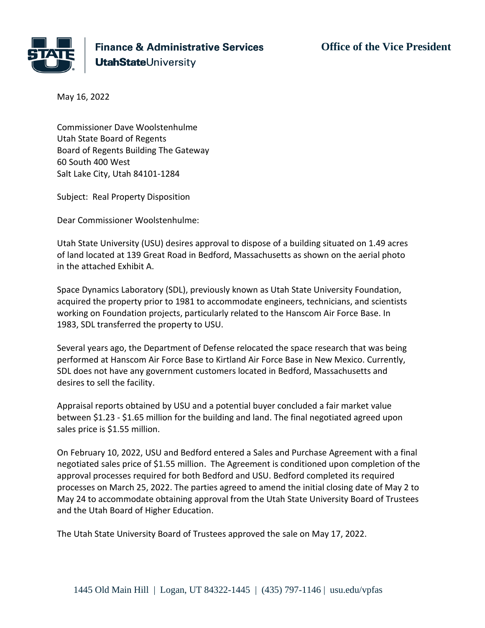

**Finance & Administrative Services UtahState**University

**Office of the Vice President**

May 16, 2022

Commissioner Dave Woolstenhulme Utah State Board of Regents Board of Regents Building The Gateway 60 South 400 West Salt Lake City, Utah 84101-1284

Subject: Real Property Disposition

Dear Commissioner Woolstenhulme:

Utah State University (USU) desires approval to dispose of a building situated on 1.49 acres of land located at 139 Great Road in Bedford, Massachusetts as shown on the aerial photo in the attached Exhibit A.

Space Dynamics Laboratory (SDL), previously known as Utah State University Foundation, acquired the property prior to 1981 to accommodate engineers, technicians, and scientists working on Foundation projects, particularly related to the Hanscom Air Force Base. In 1983, SDL transferred the property to USU.

Several years ago, the Department of Defense relocated the space research that was being performed at Hanscom Air Force Base to Kirtland Air Force Base in New Mexico. Currently, SDL does not have any government customers located in Bedford, Massachusetts and desires to sell the facility.

Appraisal reports obtained by USU and a potential buyer concluded a fair market value between \$1.23 - \$1.65 million for the building and land. The final negotiated agreed upon sales price is \$1.55 million.

On February 10, 2022, USU and Bedford entered a Sales and Purchase Agreement with a final negotiated sales price of \$1.55 million. The Agreement is conditioned upon completion of the approval processes required for both Bedford and USU. Bedford completed its required processes on March 25, 2022. The parties agreed to amend the initial closing date of May 2 to May 24 to accommodate obtaining approval from the Utah State University Board of Trustees and the Utah Board of Higher Education.

The Utah State University Board of Trustees approved the sale on May 17, 2022.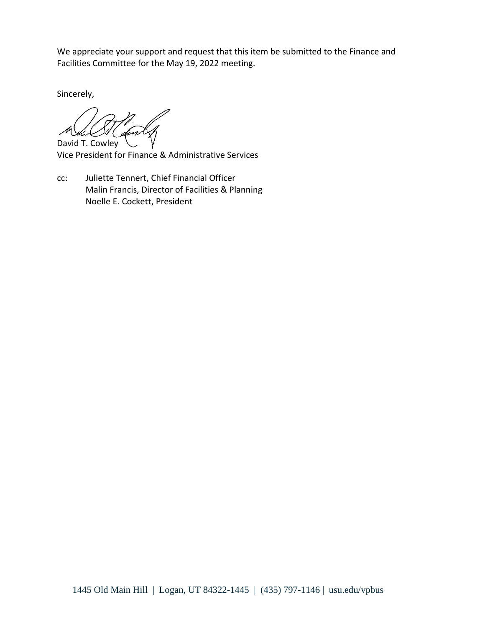We appreciate your support and request that this item be submitted to the Finance and Facilities Committee for the May 19, 2022 meeting.

Sincerely,

David T. Cowley

Vice President for Finance & Administrative Services

cc: Juliette Tennert, Chief Financial Officer Malin Francis, Director of Facilities & Planning Noelle E. Cockett, President